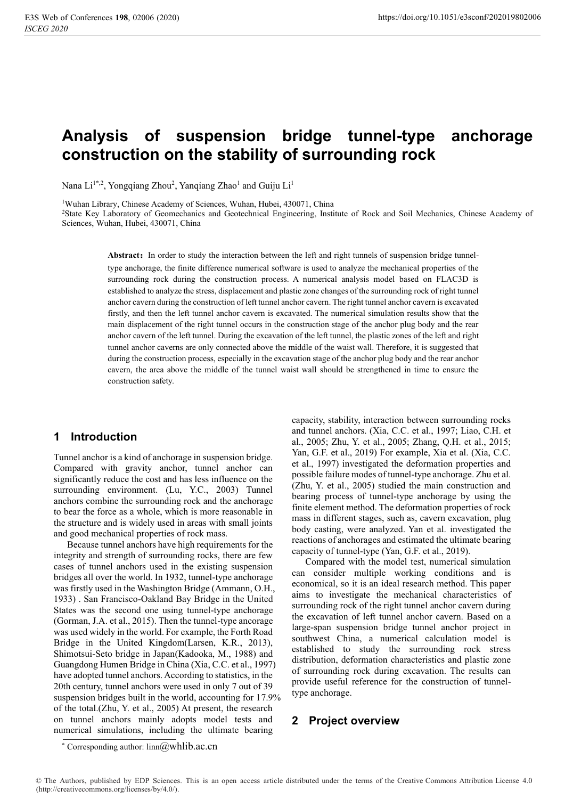# **Analysis of suspension bridge tunnel-type anchorage construction on the stability of surrounding rock**

Nana Li<sup>1\*,2</sup>, Yongqiang Zhou<sup>2</sup>, Yanqiang Zhao<sup>1</sup> and Guiju Li<sup>1</sup>

1Wuhan Library, Chinese Academy of Sciences, Wuhan, Hubei, 430071, China

2State Key Laboratory of Geomechanics and Geotechnical Engineering, Institute of Rock and Soil Mechanics, Chinese Academy of Sciences, Wuhan, Hubei, 430071, China

**Abstract:** In order to study the interaction between the left and right tunnels of suspension bridge tunneltype anchorage, the finite difference numerical software is used to analyze the mechanical properties of the surrounding rock during the construction process. A numerical analysis model based on FLAC3D is established to analyze the stress, displacement and plastic zone changes of the surrounding rock of right tunnel anchor cavern during the construction of left tunnel anchor cavern. The right tunnel anchor cavern is excavated firstly, and then the left tunnel anchor cavern is excavated. The numerical simulation results show that the main displacement of the right tunnel occurs in the construction stage of the anchor plug body and the rear anchor cavern of the left tunnel. During the excavation of the left tunnel, the plastic zones of the left and right tunnel anchor caverns are only connected above the middle of the waist wall. Therefore, it is suggested that during the construction process, especially in the excavation stage of the anchor plug body and the rear anchor cavern, the area above the middle of the tunnel waist wall should be strengthened in time to ensure the construction safety.

### **1 Introduction**

Tunnel anchor is a kind of anchorage in suspension bridge. Compared with gravity anchor, tunnel anchor can significantly reduce the cost and has less influence on the surrounding environment. (Lu, Y.C., 2003) Tunnel anchors combine the surrounding rock and the anchorage to bear the force as a whole, which is more reasonable in the structure and is widely used in areas with small joints and good mechanical properties of rock mass.

Because tunnel anchors have high requirements for the integrity and strength of surrounding rocks, there are few cases of tunnel anchors used in the existing suspension bridges all over the world. In 1932, tunnel-type anchorage was firstly used in the Washington Bridge (Ammann, O.H., 1933) . San Francisco-Oakland Bay Bridge in the United States was the second one using tunnel-type anchorage (Gorman, J.A. et al., 2015). Then the tunnel-type ancorage was used widely in the world. For example, the Forth Road Bridge in the United Kingdom(Larsen, K.R., 2013), Shimotsui-Seto bridge in Japan(Kadooka, M., 1988) and Guangdong Humen Bridge in China (Xia, C.C. et al., 1997) have adopted tunnel anchors. According to statistics, in the 20th century, tunnel anchors were used in only 7 out of 39 suspension bridges built in the world, accounting for 17.9% of the total.(Zhu, Y. et al., 2005) At present, the research on tunnel anchors mainly adopts model tests and numerical simulations, including the ultimate bearing

capacity, stability, interaction between surrounding rocks and tunnel anchors. (Xia, C.C. et al., 1997; Liao, C.H. et al., 2005; Zhu, Y. et al., 2005; Zhang, Q.H. et al., 2015; Yan, G.F. et al., 2019) For example, Xia et al. (Xia, C.C. et al., 1997) investigated the deformation properties and possible failure modes of tunnel-type anchorage. Zhu et al. (Zhu, Y. et al., 2005) studied the main construction and bearing process of tunnel-type anchorage by using the finite element method. The deformation properties of rock mass in different stages, such as, cavern excavation, plug body casting, were analyzed. Yan et al. investigated the reactions of anchorages and estimated the ultimate bearing capacity of tunnel-type (Yan, G.F. et al., 2019).

Compared with the model test, numerical simulation can consider multiple working conditions and is economical, so it is an ideal research method. This paper aims to investigate the mechanical characteristics of surrounding rock of the right tunnel anchor cavern during the excavation of left tunnel anchor cavern. Based on a large-span suspension bridge tunnel anchor project in southwest China, a numerical calculation model is established to study the surrounding rock stress distribution, deformation characteristics and plastic zone of surrounding rock during excavation. The results can provide useful reference for the construction of tunneltype anchorage.

## **2 Project overview**

<sup>\*</sup> Corresponding author:  $lim@whlib.ac.cn$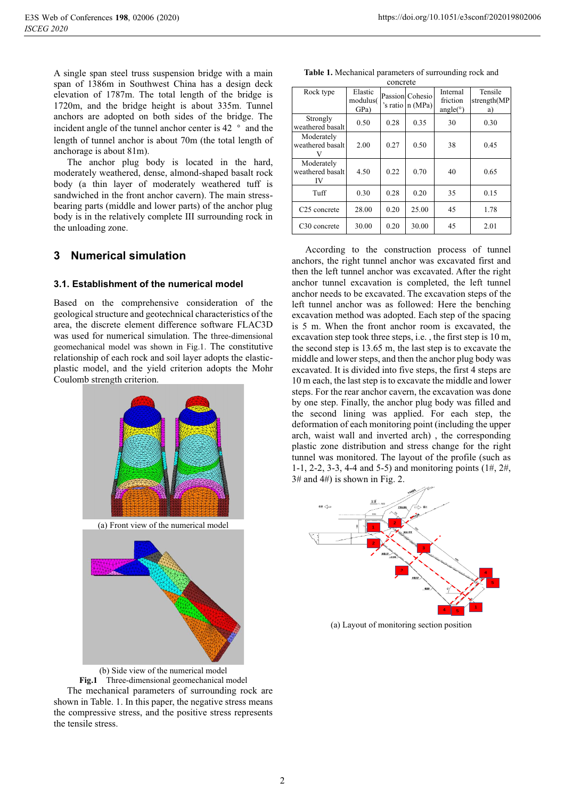A single span steel truss suspension bridge with a main span of 1386m in Southwest China has a design deck elevation of 1787m. The total length of the bridge is 1720m, and the bridge height is about 335m. Tunnel anchors are adopted on both sides of the bridge. The incident angle of the tunnel anchor center is 42  $\degree$  and the length of tunnel anchor is about 70m (the total length of anchorage is about 81m).

The anchor plug body is located in the hard, moderately weathered, dense, almond-shaped basalt rock body (a thin layer of moderately weathered tuff is sandwiched in the front anchor cavern). The main stressbearing parts (middle and lower parts) of the anchor plug body is in the relatively complete III surrounding rock in the unloading zone.

## **3 Numerical simulation**

#### **3.1. Establishment of the numerical model**

Based on the comprehensive consideration of the geological structure and geotechnical characteristics of the area, the discrete element difference software FLAC3D was used for numerical simulation. The three-dimensional geomechanical model was shown in Fig.1. The constitutive relationship of each rock and soil layer adopts the elasticplastic model, and the yield criterion adopts the Mohr Coulomb strength criterion.





the compressive stress, and the positive stress represents

the tensile stress.



**Table 1.** Mechanical parameters of surrounding rock and

| concrete                             |                             |      |                                     |                                  |                              |
|--------------------------------------|-----------------------------|------|-------------------------------------|----------------------------------|------------------------------|
| Rock type                            | Elastic<br>modulus(<br>GPa) |      | Passion Cohesio<br>'s ratio n (MPa) | Internal<br>friction<br>angle(°) | Tensile<br>strength(MP<br>a) |
| Strongly<br>weathered basalt         | 0.50                        | 0.28 | 0.35                                | 30                               | 0.30                         |
| Moderately<br>weathered basalt       | 2.00                        | 0.27 | 0.50                                | 38                               | 0.45                         |
| Moderately<br>weathered basalt<br>IV | 4.50                        | 0.22 | 0.70                                | 40                               | 0.65                         |
| Tuff                                 | 0.30                        | 0.28 | 0.20                                | 35                               | 0.15                         |
| C <sub>25</sub> concrete             | 28.00                       | 0.20 | 25.00                               | 45                               | 1.78                         |
| C <sub>30</sub> concrete             | 30.00                       | 0.20 | 30.00                               | 45                               | 2.01                         |

According to the construction process of tunnel anchors, the right tunnel anchor was excavated first and then the left tunnel anchor was excavated. After the right anchor tunnel excavation is completed, the left tunnel anchor needs to be excavated. The excavation steps of the left tunnel anchor was as followed: Here the benching excavation method was adopted. Each step of the spacing is 5 m. When the front anchor room is excavated, the excavation step took three steps, i.e. , the first step is 10 m, the second step is 13.65 m, the last step is to excavate the middle and lower steps, and then the anchor plug body was excavated. It is divided into five steps, the first 4 steps are 10 m each, the last step is to excavate the middle and lower steps. For the rear anchor cavern, the excavation was done by one step. Finally, the anchor plug body was filled and the second lining was applied. For each step, the deformation of each monitoring point (including the upper arch, waist wall and inverted arch) , the corresponding plastic zone distribution and stress change for the right tunnel was monitored. The layout of the profile (such as 1-1, 2-2, 3-3, 4-4 and 5-5) and monitoring points (1#, 2#,  $3#$  and  $4#$ ) is shown in Fig. 2.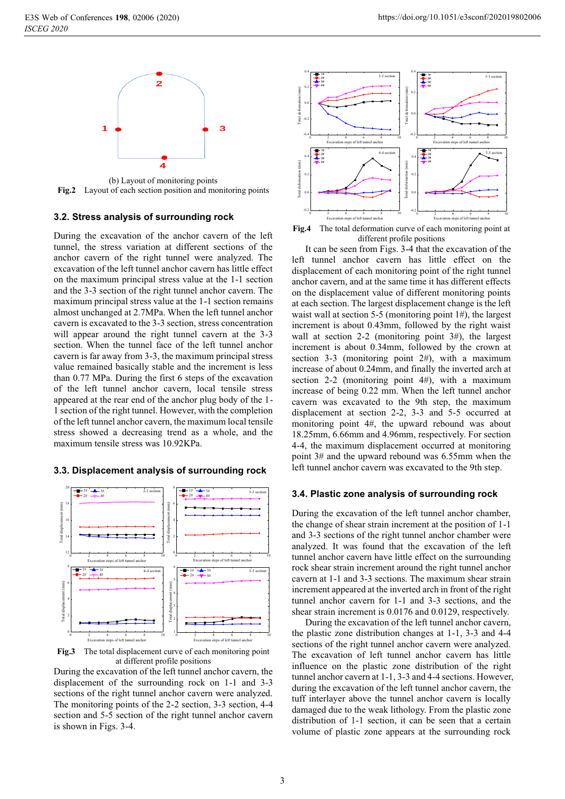

(b) Layout of monitoring points **Fig.2** Layout of each section position and monitoring points

#### **3.2. Stress analysis of surrounding rock**

During the excavation of the anchor cavern of the left tunnel, the stress variation at different sections of the anchor cavern of the right tunnel were analyzed. The excavation of the left tunnel anchor cavern has little effect on the maximum principal stress value at the 1-1 section and the 3-3 section of the right tunnel anchor cavern. The maximum principal stress value at the 1-1 section remains almost unchanged at 2.7MPa. When the left tunnel anchor cavern is excavated to the 3-3 section, stress concentration will appear around the right tunnel cavern at the 3-3 section. When the tunnel face of the left tunnel anchor cavern is far away from 3-3, the maximum principal stress value remained basically stable and the increment is less than 0.77 MPa. During the first 6 steps of the excavation of the left tunnel anchor cavern, local tensile stress appeared at the rear end of the anchor plug body of the 1- 1 section of the right tunnel. However, with the completion of the left tunnel anchor cavern, the maximum local tensile stress showed a decreasing trend as a whole, and the maximum tensile stress was 10.92KPa.



#### **3.3. Displacement analysis of surrounding rock**

**Fig.3** The total displacement curve of each monitoring point at different profile positions

During the excavation of the left tunnel anchor cavern, the displacement of the surrounding rock on 1-1 and 3-3 sections of the right tunnel anchor cavern were analyzed. The monitoring points of the 2-2 section, 3-3 section, 4-4 section and 5-5 section of the right tunnel anchor cavern is shown in Figs. 3-4.



**Fig.4** The total deformation curve of each monitoring point at different profile positions

It can be seen from Figs. 3-4 that the excavation of the left tunnel anchor cavern has little effect on the displacement of each monitoring point of the right tunnel anchor cavern, and at the same time it has different effects on the displacement value of different monitoring points at each section. The largest displacement change is the left waist wall at section 5-5 (monitoring point 1#), the largest increment is about 0.43mm, followed by the right waist wall at section 2-2 (monitoring point 3#), the largest increment is about 0.34mm, followed by the crown at section 3-3 (monitoring point  $2#$ ), with a maximum increase of about 0.24mm, and finally the inverted arch at section 2-2 (monitoring point  $4#$ ), with a maximum increase of being 0.22 mm. When the left tunnel anchor cavern was excavated to the 9th step, the maximum displacement at section 2-2, 3-3 and 5-5 occurred at monitoring point 4#, the upward rebound was about 18.25mm, 6.66mm and 4.96mm, respectively. For section 4-4, the maximum displacement occurred at monitoring point 3# and the upward rebound was 6.55mm when the left tunnel anchor cavern was excavated to the 9th step.

#### **3.4. Plastic zone analysis of surrounding rock**

During the excavation of the left tunnel anchor chamber, the change of shear strain increment at the position of 1-1 and 3-3 sections of the right tunnel anchor chamber were analyzed. It was found that the excavation of the left tunnel anchor cavern have little effect on the surrounding rock shear strain increment around the right tunnel anchor cavern at 1-1 and 3-3 sections. The maximum shear strain increment appeared at the inverted arch in front of the right tunnel anchor cavern for 1-1 and 3-3 sections, and the shear strain increment is 0.0176 and 0.0129, respectively.

During the excavation of the left tunnel anchor cavern, the plastic zone distribution changes at 1-1, 3-3 and 4-4 sections of the right tunnel anchor cavern were analyzed. The excavation of left tunnel anchor cavern has little influence on the plastic zone distribution of the right tunnel anchor cavern at 1-1, 3-3 and 4-4 sections. However, during the excavation of the left tunnel anchor cavern, the tuff interlayer above the tunnel anchor cavern is locally damaged due to the weak lithology. From the plastic zone distribution of 1-1 section, it can be seen that a certain volume of plastic zone appears at the surrounding rock